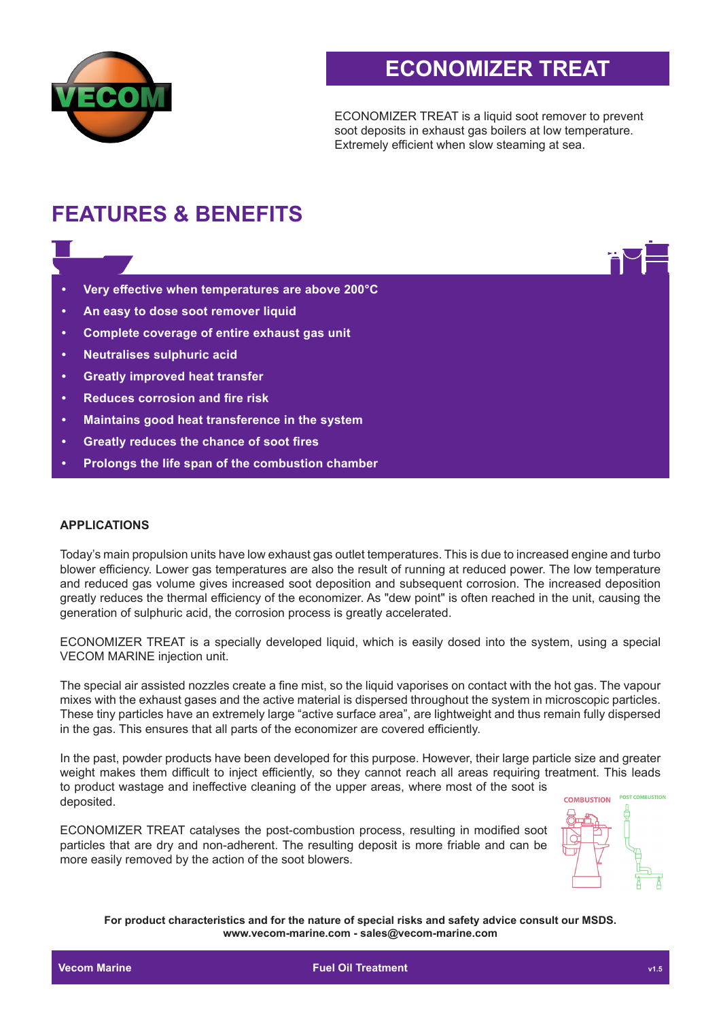

## **ECONOMIZER TREAT**

ECONOMIZER TREAT is a liquid soot remover to prevent soot deposits in exhaust gas boilers at low temperature. Extremely efficient when slow steaming at sea.

# **FEATURES & BENEFITS**

- **• Very effective when temperatures are above 200°C**
- **• An easy to dose soot remover liquid**
- **• Complete coverage of entire exhaust gas unit**
- **• Neutralises sulphuric acid**
- **• Greatly improved heat transfer**
- **• Reduces corrosion and fire risk**
- **• Maintains good heat transference in the system**
- **• Greatly reduces the chance of soot fires**
- **• Prolongs the life span of the combustion chamber**

#### **APPLICATIONS**

Today's main propulsion units have low exhaust gas outlet temperatures. This is due to increased engine and turbo blower efficiency. Lower gas temperatures are also the result of running at reduced power. The low temperature and reduced gas volume gives increased soot deposition and subsequent corrosion. The increased deposition greatly reduces the thermal efficiency of the economizer. As "dew point" is often reached in the unit, causing the generation of sulphuric acid, the corrosion process is greatly accelerated.

ECONOMIZER TREAT is a specially developed liquid, which is easily dosed into the system, using a special VECOM MARINE injection unit.

The special air assisted nozzles create a fine mist, so the liquid vaporises on contact with the hot gas. The vapour mixes with the exhaust gases and the active material is dispersed throughout the system in microscopic particles. These tiny particles have an extremely large "active surface area", are lightweight and thus remain fully dispersed in the gas. This ensures that all parts of the economizer are covered efficiently.

In the past, powder products have been developed for this purpose. However, their large particle size and greater weight makes them difficult to inject efficiently, so they cannot reach all areas requiring treatment. This leads to product wastage and ineffective cleaning of the upper areas, where most of the soot is deposited.

ECONOMIZER TREAT catalyses the post-combustion process, resulting in modified soot particles that are dry and non-adherent. The resulting deposit is more friable and can be more easily removed by the action of the soot blowers.



**For product characteristics and for the nature of special risks and safety advice consult our MSDS. www.vecom-marine.com - sales@vecom-marine.com**